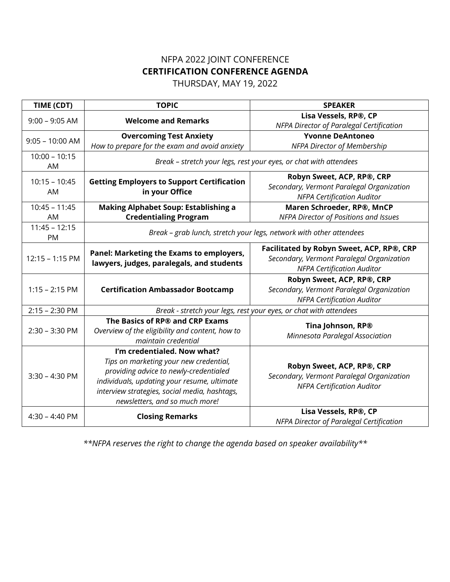# NFPA 2022 JOINT CONFERENCE **CERTIFICATION CONFERENCE AGENDA**

THURSDAY, MAY 19, 2022

| TIME (CDT)            | <b>TOPIC</b>                                                                                                                                                                                                                                      | <b>SPEAKER</b>                                                                                                              |
|-----------------------|---------------------------------------------------------------------------------------------------------------------------------------------------------------------------------------------------------------------------------------------------|-----------------------------------------------------------------------------------------------------------------------------|
| $9:00 - 9:05$ AM      | <b>Welcome and Remarks</b>                                                                                                                                                                                                                        | Lisa Vessels, RP®, CP<br>NFPA Director of Paralegal Certification                                                           |
| $9:05 - 10:00$ AM     | <b>Overcoming Test Anxiety</b>                                                                                                                                                                                                                    | <b>Yvonne DeAntoneo</b>                                                                                                     |
|                       | How to prepare for the exam and avoid anxiety                                                                                                                                                                                                     | <b>NFPA Director of Membership</b>                                                                                          |
| $10:00 - 10:15$<br>AM | Break - stretch your legs, rest your eyes, or chat with attendees                                                                                                                                                                                 |                                                                                                                             |
| $10:15 - 10:45$<br>AM | <b>Getting Employers to Support Certification</b><br>in your Office                                                                                                                                                                               | Robyn Sweet, ACP, RP®, CRP<br>Secondary, Vermont Paralegal Organization<br><b>NFPA Certification Auditor</b>                |
| $10:45 - 11:45$       | <b>Making Alphabet Soup: Establishing a</b>                                                                                                                                                                                                       | Maren Schroeder, RP®, MnCP                                                                                                  |
| AM                    | <b>Credentialing Program</b>                                                                                                                                                                                                                      | NFPA Director of Positions and Issues                                                                                       |
| $11:45 - 12:15$<br>PM | Break - grab lunch, stretch your legs, network with other attendees                                                                                                                                                                               |                                                                                                                             |
| 12:15 - 1:15 PM       | Panel: Marketing the Exams to employers,<br>lawyers, judges, paralegals, and students                                                                                                                                                             | Facilitated by Robyn Sweet, ACP, RP®, CRP<br>Secondary, Vermont Paralegal Organization<br><b>NFPA Certification Auditor</b> |
| $1:15 - 2:15$ PM      | <b>Certification Ambassador Bootcamp</b>                                                                                                                                                                                                          | Robyn Sweet, ACP, RP®, CRP<br>Secondary, Vermont Paralegal Organization<br><b>NFPA Certification Auditor</b>                |
| $2:15 - 2:30$ PM      | Break - stretch your legs, rest your eyes, or chat with attendees                                                                                                                                                                                 |                                                                                                                             |
| $2:30 - 3:30$ PM      | The Basics of RP® and CRP Exams<br>Overview of the eligibility and content, how to<br>maintain credential                                                                                                                                         | Tina Johnson, RP®<br>Minnesota Paralegal Association                                                                        |
| $3:30 - 4:30$ PM      | I'm credentialed. Now what?<br>Tips on marketing your new credential,<br>providing advice to newly-credentialed<br>individuals, updating your resume, ultimate<br>interview strategies, social media, hashtags,<br>newsletters, and so much more! | Robyn Sweet, ACP, RP®, CRP<br>Secondary, Vermont Paralegal Organization<br><b>NFPA Certification Auditor</b>                |
| $4:30 - 4:40$ PM      | <b>Closing Remarks</b>                                                                                                                                                                                                                            | Lisa Vessels, RP®, CP<br>NFPA Director of Paralegal Certification                                                           |

*\*\*NFPA reserves the right to change the agenda based on speaker availability\*\**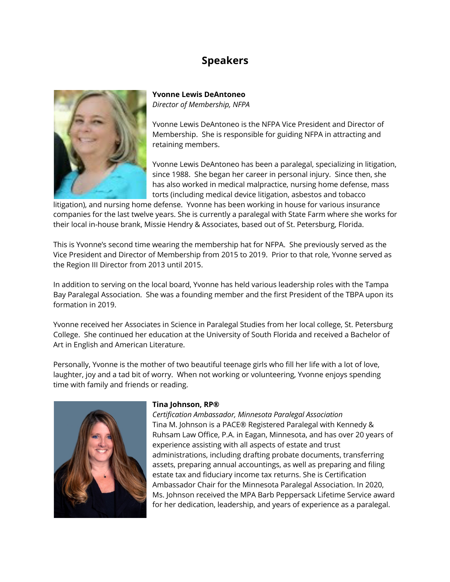## **Speakers**



**Yvonne Lewis DeAntoneo** *Director of Membership, NFPA*

Yvonne Lewis DeAntoneo is the NFPA Vice President and Director of Membership. She is responsible for guiding NFPA in attracting and retaining members.

Yvonne Lewis DeAntoneo has been a paralegal, specializing in litigation, since 1988. She began her career in personal injury. Since then, she has also worked in medical malpractice, nursing home defense, mass torts (including medical device litigation, asbestos and tobacco

litigation), and nursing home defense. Yvonne has been working in house for various insurance companies for the last twelve years. She is currently a paralegal with State Farm where she works for their local in-house brank, Missie Hendry & Associates, based out of St. Petersburg, Florida.

This is Yvonne's second time wearing the membership hat for NFPA. She previously served as the Vice President and Director of Membership from 2015 to 2019. Prior to that role, Yvonne served as the Region III Director from 2013 until 2015.

In addition to serving on the local board, Yvonne has held various leadership roles with the Tampa Bay Paralegal Association. She was a founding member and the first President of the TBPA upon its formation in 2019.

Yvonne received her Associates in Science in Paralegal Studies from her local college, St. Petersburg College. She continued her education at the University of South Florida and received a Bachelor of Art in English and American Literature.

Personally, Yvonne is the mother of two beautiful teenage girls who fill her life with a lot of love, laughter, joy and a tad bit of worry. When not working or volunteering, Yvonne enjoys spending time with family and friends or reading.



#### **Tina Johnson, RP®**

*Certification Ambassador, Minnesota Paralegal Association* Tina M. Johnson is a PACE® Registered Paralegal with Kennedy & Ruhsam Law Office, P.A. in Eagan, Minnesota, and has over 20 years of experience assisting with all aspects of estate and trust administrations, including drafting probate documents, transferring assets, preparing annual accountings, as well as preparing and filing estate tax and fiduciary income tax returns. She is Certification Ambassador Chair for the Minnesota Paralegal Association. In 2020, Ms. Johnson received the MPA Barb Peppersack Lifetime Service award for her dedication, leadership, and years of experience as a paralegal.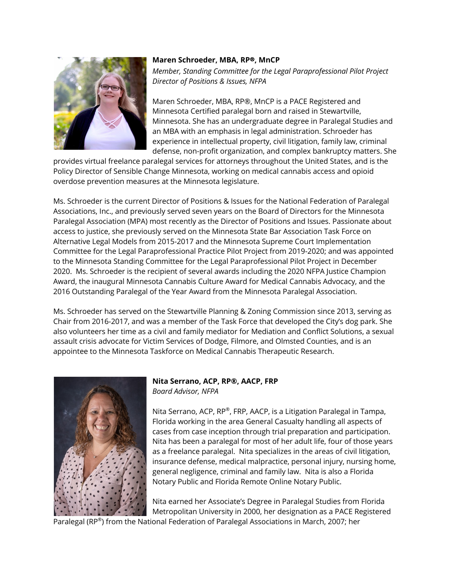

#### **Maren Schroeder, MBA, RP**!**, MnCP**

*Member, Standing Committee for the Legal Paraprofessional Pilot Project Director of Positions & Issues, NFPA*

Maren Schroeder, MBA, RP®, MnCP is a PACE Registered and Minnesota Certified paralegal born and raised in Stewartville, Minnesota. She has an undergraduate degree in Paralegal Studies and an MBA with an emphasis in legal administration. Schroeder has experience in intellectual property, civil litigation, family law, criminal defense, non-profit organization, and complex bankruptcy matters. She

provides virtual freelance paralegal services for attorneys throughout the United States, and is the Policy Director of Sensible Change Minnesota, working on medical cannabis access and opioid overdose prevention measures at the Minnesota legislature.

Ms. Schroeder is the current Director of Positions & Issues for the National Federation of Paralegal Associations, Inc., and previously served seven years on the Board of Directors for the Minnesota Paralegal Association (MPA) most recently as the Director of Positions and Issues. Passionate about access to justice, she previously served on the Minnesota State Bar Association Task Force on Alternative Legal Models from 2015-2017 and the Minnesota Supreme Court Implementation Committee for the Legal Paraprofessional Practice Pilot Project from 2019-2020; and was appointed to the Minnesota Standing Committee for the Legal Paraprofessional Pilot Project in December 2020. Ms. Schroeder is the recipient of several awards including the 2020 NFPA Justice Champion Award, the inaugural Minnesota Cannabis Culture Award for Medical Cannabis Advocacy, and the 2016 Outstanding Paralegal of the Year Award from the Minnesota Paralegal Association.

Ms. Schroeder has served on the Stewartville Planning & Zoning Commission since 2013, serving as Chair from 2016-2017, and was a member of the Task Force that developed the City's dog park. She also volunteers her time as a civil and family mediator for Mediation and Conflict Solutions, a sexual assault crisis advocate for Victim Services of Dodge, Filmore, and Olmsted Counties, and is an appointee to the Minnesota Taskforce on Medical Cannabis Therapeutic Research.



#### **Nita Serrano, ACP, RP®, AACP, FRP** *Board Advisor, NFPA*

Nita Serrano, ACP, RP®, FRP, AACP, is a Litigation Paralegal in Tampa, Florida working in the area General Casualty handling all aspects of cases from case inception through trial preparation and participation. Nita has been a paralegal for most of her adult life, four of those years as a freelance paralegal. Nita specializes in the areas of civil litigation, insurance defense, medical malpractice, personal injury, nursing home, general negligence, criminal and family law. Nita is also a Florida Notary Public and Florida Remote Online Notary Public.

Nita earned her Associate's Degree in Paralegal Studies from Florida Metropolitan University in 2000, her designation as a PACE Registered

Paralegal (RP®) from the National Federation of Paralegal Associations in March, 2007; her